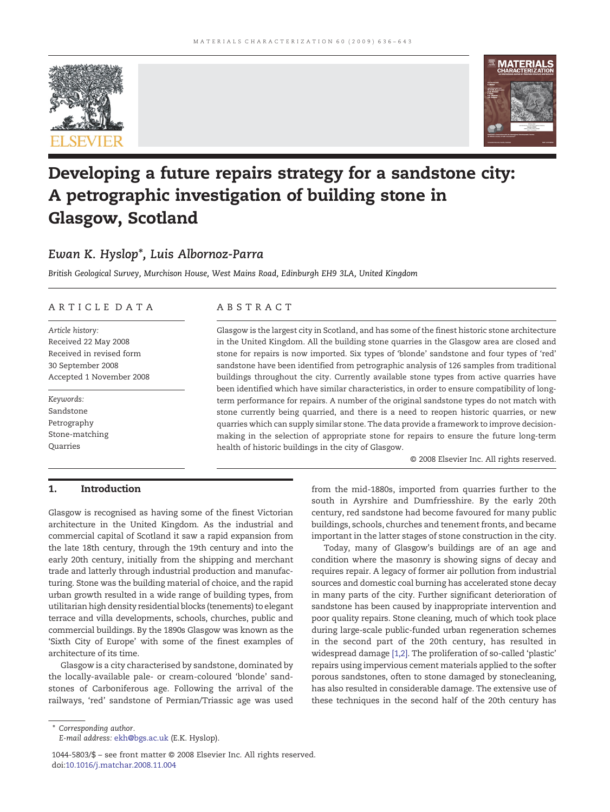



# Developing a future repairs strategy for a sandstone city: A petrographic investigation of building stone in Glasgow, Scotland

# Ewan K. Hyslop\*, Luis Albornoz-Parra

British Geological Survey, Murchison House, West Mains Road, Edinburgh EH9 3LA, United Kingdom

## ARTICLE DATA ABSTRACT

Article history: Received 22 May 2008 Received in revised form 30 September 2008 Accepted 1 November 2008

Keywords: Sandstone Petrography Stone-matching **Quarries** 

Glasgow is the largest city in Scotland, and has some of the finest historic stone architecture in the United Kingdom. All the building stone quarries in the Glasgow area are closed and stone for repairs is now imported. Six types of 'blonde' sandstone and four types of 'red' sandstone have been identified from petrographic analysis of 126 samples from traditional buildings throughout the city. Currently available stone types from active quarries have been identified which have similar characteristics, in order to ensure compatibility of longterm performance for repairs. A number of the original sandstone types do not match with stone currently being quarried, and there is a need to reopen historic quarries, or new quarries which can supply similar stone. The data provide a framework to improve decisionmaking in the selection of appropriate stone for repairs to ensure the future long-term health of historic buildings in the city of Glasgow.

© 2008 Elsevier Inc. All rights reserved.

## 1. Introduction

Glasgow is recognised as having some of the finest Victorian architecture in the United Kingdom. As the industrial and commercial capital of Scotland it saw a rapid expansion from the late 18th century, through the 19th century and into the early 20th century, initially from the shipping and merchant trade and latterly through industrial production and manufacturing. Stone was the building material of choice, and the rapid urban growth resulted in a wide range of building types, from utilitarian high density residential blocks (tenements) to elegant terrace and villa developments, schools, churches, public and commercial buildings. By the 1890s Glasgow was known as the 'Sixth City of Europe' with some of the finest examples of architecture of its time.

Glasgow is a city characterised by sandstone, dominated by the locally-available pale- or cream-coloured 'blonde' sandstones of Carboniferous age. Following the arrival of the railways, 'red' sandstone of Permian/Triassic age was used

from the mid-1880s, imported from quarries further to the south in Ayrshire and Dumfriesshire. By the early 20th century, red sandstone had become favoured for many public buildings, schools, churches and tenement fronts, and became important in the latter stages of stone construction in the city.

Today, many of Glasgow's buildings are of an age and condition where the masonry is showing signs of decay and requires repair. A legacy of former air pollution from industrial sources and domestic coal burning has accelerated stone decay in many parts of the city. Further significant deterioration of sandstone has been caused by inappropriate intervention and poor quality repairs. Stone cleaning, much of which took place during large-scale public-funded urban regeneration schemes in the second part of the 20th century, has resulted in widespread damage [\[1,2\]](#page--1-0). The proliferation of so-called 'plastic' repairs using impervious cement materials applied to the softer porous sandstones, often to stone damaged by stonecleaning, has also resulted in considerable damage. The extensive use of these techniques in the second half of the 20th century has

⁎ Corresponding author.

E-mail address: [ekh@bgs.ac.uk](mailto:ekh@bgs.ac.uk) (E.K. Hyslop).

<sup>1044-5803/\$</sup> – see front matter © 2008 Elsevier Inc. All rights reserved. doi[:10.1016/j.matchar.2008.11.004](http://dx.doi.org/10.1016/j.matchar.2008.11.004)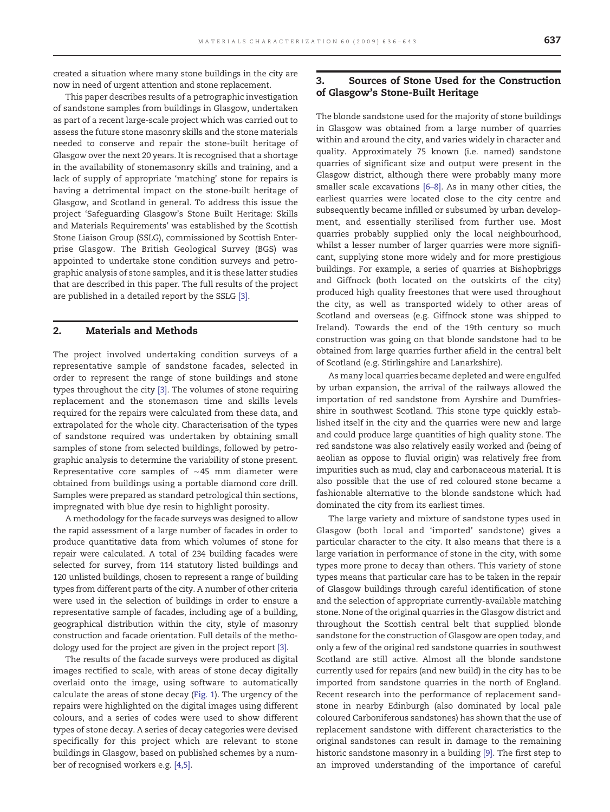created a situation where many stone buildings in the city are now in need of urgent attention and stone replacement.

This paper describes results of a petrographic investigation of sandstone samples from buildings in Glasgow, undertaken as part of a recent large-scale project which was carried out to assess the future stone masonry skills and the stone materials needed to conserve and repair the stone-built heritage of Glasgow over the next 20 years. It is recognised that a shortage in the availability of stonemasonry skills and training, and a lack of supply of appropriate 'matching' stone for repairs is having a detrimental impact on the stone-built heritage of Glasgow, and Scotland in general. To address this issue the project 'Safeguarding Glasgow's Stone Built Heritage: Skills and Materials Requirements' was established by the Scottish Stone Liaison Group (SSLG), commissioned by Scottish Enterprise Glasgow. The British Geological Survey (BGS) was appointed to undertake stone condition surveys and petrographic analysis of stone samples, and it is these latter studies that are described in this paper. The full results of the project are published in a detailed report by the SSLG [\[3\]](#page--1-0).

### 2. Materials and Methods

The project involved undertaking condition surveys of a representative sample of sandstone facades, selected in order to represent the range of stone buildings and stone types throughout the city [\[3\]](#page--1-0). The volumes of stone requiring replacement and the stonemason time and skills levels required for the repairs were calculated from these data, and extrapolated for the whole city. Characterisation of the types of sandstone required was undertaken by obtaining small samples of stone from selected buildings, followed by petrographic analysis to determine the variability of stone present. Representative core samples of ∼45 mm diameter were obtained from buildings using a portable diamond core drill. Samples were prepared as standard petrological thin sections, impregnated with blue dye resin to highlight porosity.

A methodology for the facade surveys was designed to allow the rapid assessment of a large number of facades in order to produce quantitative data from which volumes of stone for repair were calculated. A total of 234 building facades were selected for survey, from 114 statutory listed buildings and 120 unlisted buildings, chosen to represent a range of building types from different parts of the city. A number of other criteria were used in the selection of buildings in order to ensure a representative sample of facades, including age of a building, geographical distribution within the city, style of masonry construction and facade orientation. Full details of the methodology used for the project are given in the project report [\[3\].](#page--1-0)

The results of the facade surveys were produced as digital images rectified to scale, with areas of stone decay digitally overlaid onto the image, using software to automatically calculate the areas of stone decay [\(Fig. 1\)](#page--1-0). The urgency of the repairs were highlighted on the digital images using different colours, and a series of codes were used to show different types of stone decay. A series of decay categories were devised specifically for this project which are relevant to stone buildings in Glasgow, based on published schemes by a number of recognised workers e.g. [\[4,5\].](#page--1-0)

### 3. Sources of Stone Used for the Construction of Glasgow's Stone-Built Heritage

The blonde sandstone used for the majority of stone buildings in Glasgow was obtained from a large number of quarries within and around the city, and varies widely in character and quality. Approximately 75 known (i.e. named) sandstone quarries of significant size and output were present in the Glasgow district, although there were probably many more smaller scale excavations [6–[8\].](#page--1-0) As in many other cities, the earliest quarries were located close to the city centre and subsequently became infilled or subsumed by urban development, and essentially sterilised from further use. Most quarries probably supplied only the local neighbourhood, whilst a lesser number of larger quarries were more significant, supplying stone more widely and for more prestigious buildings. For example, a series of quarries at Bishopbriggs and Giffnock (both located on the outskirts of the city) produced high quality freestones that were used throughout the city, as well as transported widely to other areas of Scotland and overseas (e.g. Giffnock stone was shipped to Ireland). Towards the end of the 19th century so much construction was going on that blonde sandstone had to be obtained from large quarries further afield in the central belt of Scotland (e.g. Stirlingshire and Lanarkshire).

As many local quarries became depleted and were engulfed by urban expansion, the arrival of the railways allowed the importation of red sandstone from Ayrshire and Dumfriesshire in southwest Scotland. This stone type quickly established itself in the city and the quarries were new and large and could produce large quantities of high quality stone. The red sandstone was also relatively easily worked and (being of aeolian as oppose to fluvial origin) was relatively free from impurities such as mud, clay and carbonaceous material. It is also possible that the use of red coloured stone became a fashionable alternative to the blonde sandstone which had dominated the city from its earliest times.

The large variety and mixture of sandstone types used in Glasgow (both local and 'imported' sandstone) gives a particular character to the city. It also means that there is a large variation in performance of stone in the city, with some types more prone to decay than others. This variety of stone types means that particular care has to be taken in the repair of Glasgow buildings through careful identification of stone and the selection of appropriate currently-available matching stone. None of the original quarries in the Glasgow district and throughout the Scottish central belt that supplied blonde sandstone for the construction of Glasgow are open today, and only a few of the original red sandstone quarries in southwest Scotland are still active. Almost all the blonde sandstone currently used for repairs (and new build) in the city has to be imported from sandstone quarries in the north of England. Recent research into the performance of replacement sandstone in nearby Edinburgh (also dominated by local pale coloured Carboniferous sandstones) has shown that the use of replacement sandstone with different characteristics to the original sandstones can result in damage to the remaining historic sandstone masonry in a building [\[9\]](#page--1-0). The first step to an improved understanding of the importance of careful